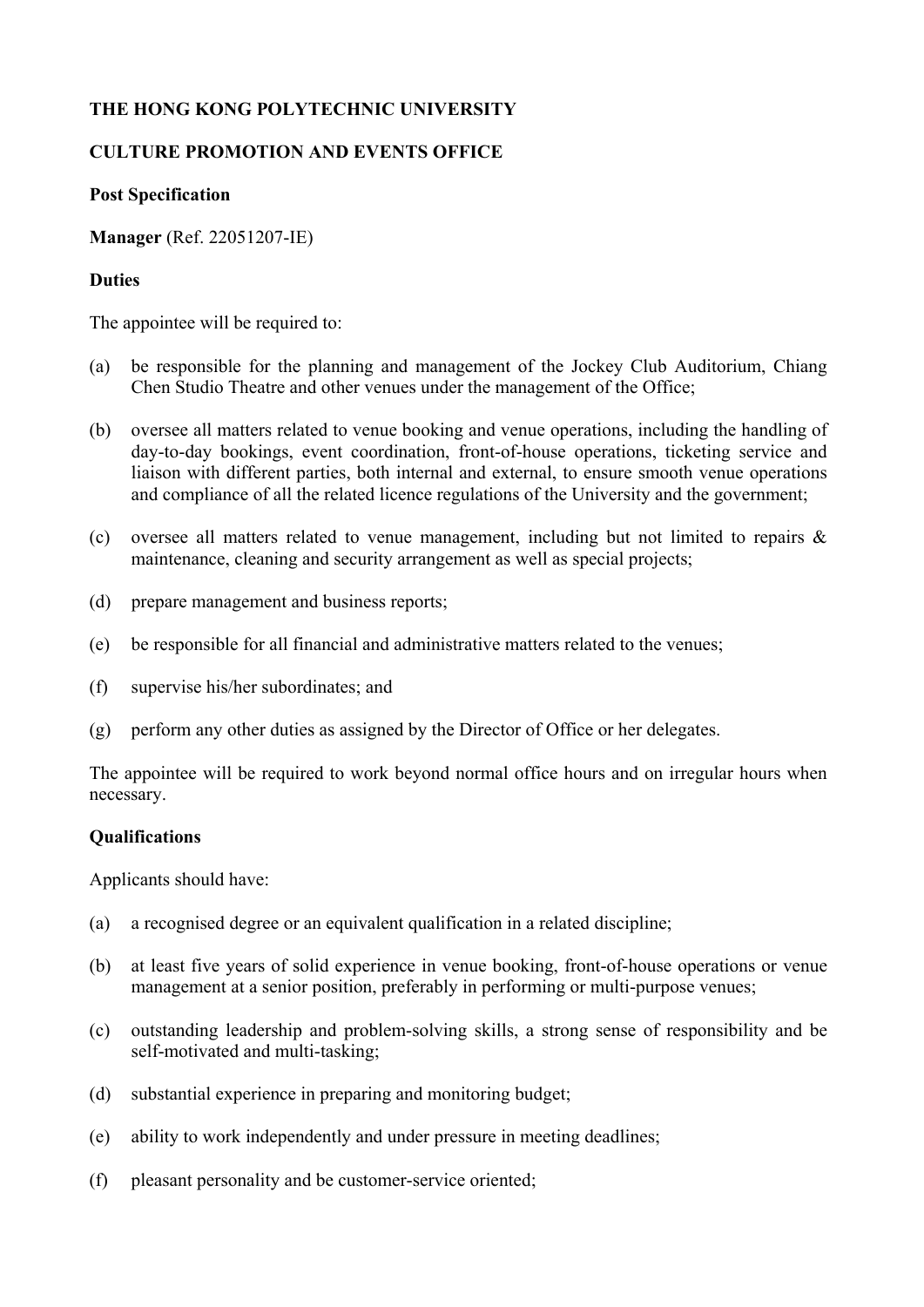# **THE HONG KONG POLYTECHNIC UNIVERSITY**

## **CULTURE PROMOTION AND EVENTS OFFICE**

#### **Post Specification**

**Manager** (Ref. 22051207-IE)

### **Duties**

The appointee will be required to:

- (a) be responsible for the planning and management of the Jockey Club Auditorium, Chiang Chen Studio Theatre and other venues under the management of the Office;
- (b) oversee all matters related to venue booking and venue operations, including the handling of day-to-day bookings, event coordination, front-of-house operations, ticketing service and liaison with different parties, both internal and external, to ensure smooth venue operations and compliance of all the related licence regulations of the University and the government;
- (c) oversee all matters related to venue management, including but not limited to repairs & maintenance, cleaning and security arrangement as well as special projects;
- (d) prepare management and business reports;
- (e) be responsible for all financial and administrative matters related to the venues;
- (f) supervise his/her subordinates; and
- (g) perform any other duties as assigned by the Director of Office or her delegates.

The appointee will be required to work beyond normal office hours and on irregular hours when necessary.

## **Qualifications**

Applicants should have:

- (a) a recognised degree or an equivalent qualification in a related discipline;
- (b) at least five years of solid experience in venue booking, front-of-house operations or venue management at a senior position, preferably in performing or multi-purpose venues;
- (c) outstanding leadership and problem-solving skills, a strong sense of responsibility and be self-motivated and multi-tasking;
- (d) substantial experience in preparing and monitoring budget;
- (e) ability to work independently and under pressure in meeting deadlines;
- (f) pleasant personality and be customer-service oriented;